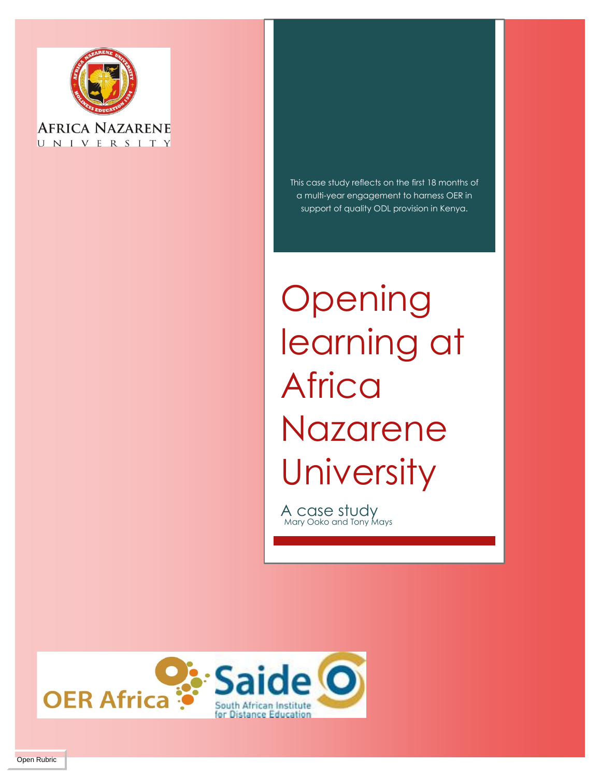

UNIVERSITY

This case study reflects on the first 18 months of a multi-year engagement to harness OER in support of quality ODL provision in Kenya.

**Opening** learning at **Africa** Nazarene **University** 

A case study<br>Mary Ooko and Tony Mays

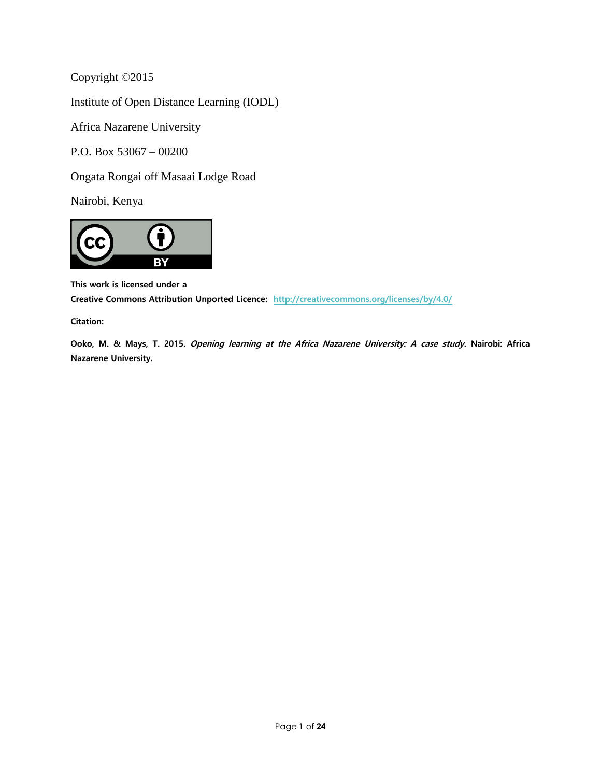Copyright ©2015

Institute of Open Distance Learning (IODL)

Africa Nazarene University

P.O. Box 53067 – 00200

Ongata Rongai off Masaai Lodge Road

Nairobi, Kenya



**This work is licensed under a Creative Commons Attribution Unported Licence: <http://creativecommons.org/licenses/by/4.0/>**

**Citation:**

**Ooko, M. & Mays, T. 2015. Opening learning at the Africa Nazarene University: A case study. Nairobi: Africa Nazarene University.**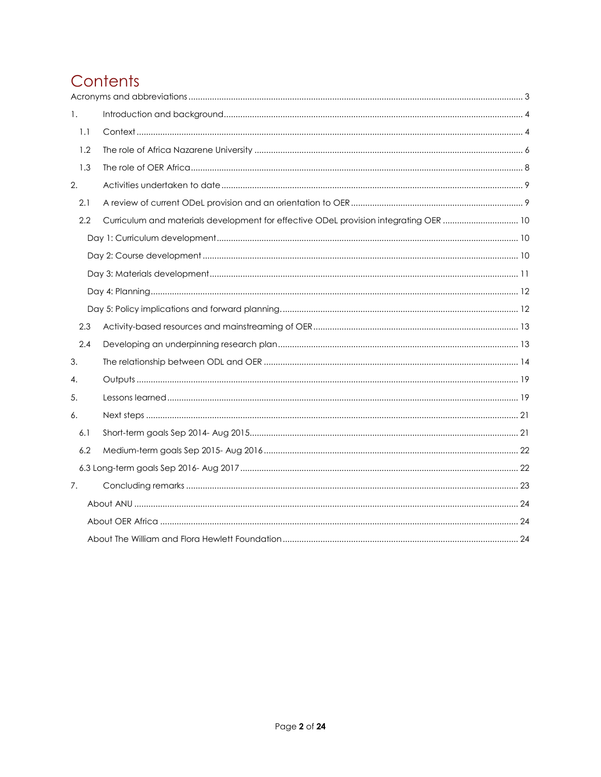# Contents

| 1.  |  |                                                                                       |  |
|-----|--|---------------------------------------------------------------------------------------|--|
| 1.1 |  |                                                                                       |  |
| 1.2 |  |                                                                                       |  |
| 1.3 |  |                                                                                       |  |
| 2.  |  |                                                                                       |  |
| 2.1 |  |                                                                                       |  |
| 2.2 |  | Curriculum and materials development for effective ODeL provision integrating OER  10 |  |
|     |  |                                                                                       |  |
|     |  |                                                                                       |  |
|     |  |                                                                                       |  |
|     |  |                                                                                       |  |
|     |  |                                                                                       |  |
| 2.3 |  |                                                                                       |  |
| 2.4 |  |                                                                                       |  |
| 3.  |  |                                                                                       |  |
| 4.  |  |                                                                                       |  |
| 5.  |  |                                                                                       |  |
| 6.  |  |                                                                                       |  |
| 6.1 |  |                                                                                       |  |
| 6.2 |  |                                                                                       |  |
|     |  |                                                                                       |  |
| 7.  |  |                                                                                       |  |
|     |  |                                                                                       |  |
|     |  |                                                                                       |  |
|     |  |                                                                                       |  |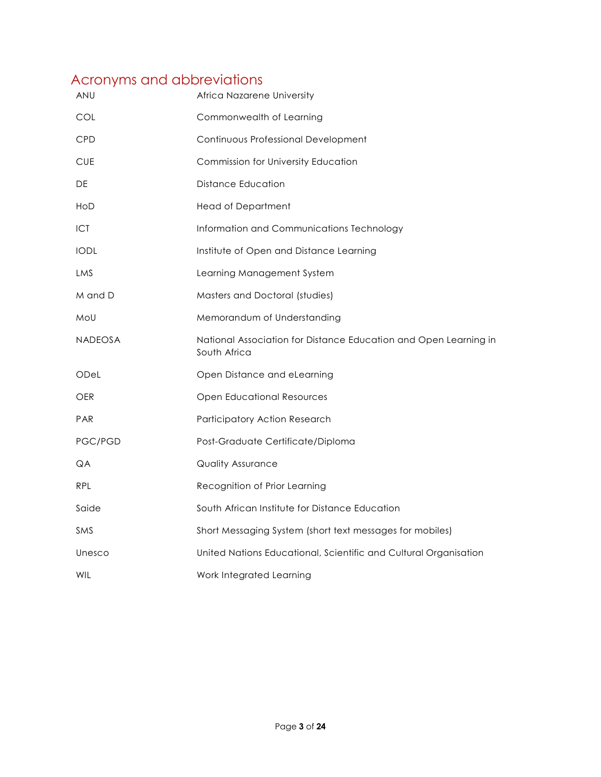# <span id="page-3-0"></span>Acronyms and abbreviations

| ANU            | Africa Nazarene University                                                       |
|----------------|----------------------------------------------------------------------------------|
| COL            | Commonwealth of Learning                                                         |
| <b>CPD</b>     | Continuous Professional Development                                              |
| <b>CUE</b>     | Commission for University Education                                              |
| DE             | <b>Distance Education</b>                                                        |
| HoD            | <b>Head of Department</b>                                                        |
| <b>ICT</b>     | Information and Communications Technology                                        |
| <b>IODL</b>    | Institute of Open and Distance Learning                                          |
| LMS            | Learning Management System                                                       |
| M and D        | Masters and Doctoral (studies)                                                   |
| MoU            | Memorandum of Understanding                                                      |
| <b>NADEOSA</b> | National Association for Distance Education and Open Learning in<br>South Africa |
| ODel           | Open Distance and eLearning                                                      |
| OER            | <b>Open Educational Resources</b>                                                |
| <b>PAR</b>     | Participatory Action Research                                                    |
| PGC/PGD        | Post-Graduate Certificate/Diploma                                                |
| QA             | <b>Quality Assurance</b>                                                         |
| <b>RPL</b>     | Recognition of Prior Learning                                                    |
| Saide          | South African Institute for Distance Education                                   |
| <b>SMS</b>     | Short Messaging System (short text messages for mobiles)                         |
| Unesco         | United Nations Educational, Scientific and Cultural Organisation                 |
| <b>WIL</b>     | Work Integrated Learning                                                         |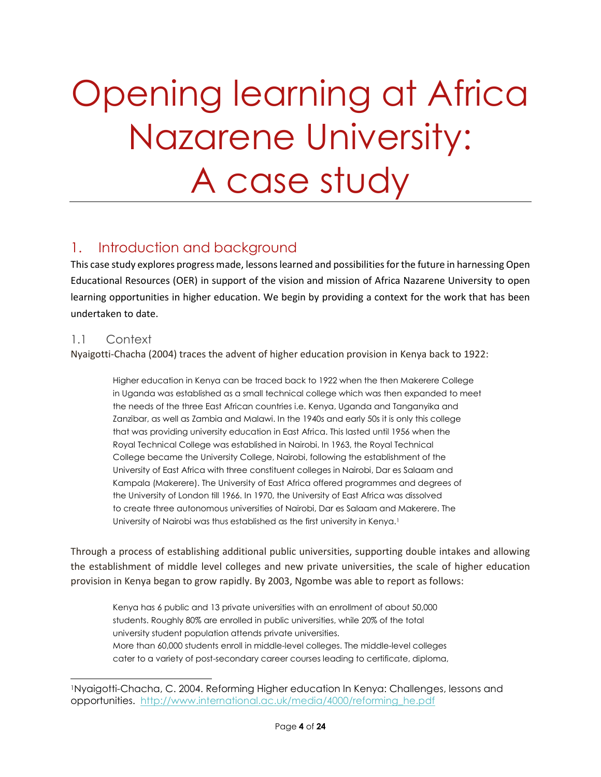# Opening learning at Africa Nazarene University: A case study

# <span id="page-4-0"></span>1. Introduction and background

This case study explores progress made, lessons learned and possibilities for the future in harnessing Open Educational Resources (OER) in support of the vision and mission of Africa Nazarene University to open learning opportunities in higher education. We begin by providing a context for the work that has been undertaken to date.

#### <span id="page-4-1"></span>1.1 Context

l

Nyaigotti-Chacha (2004) traces the advent of higher education provision in Kenya back to 1922:

Higher education in Kenya can be traced back to 1922 when the then Makerere College in Uganda was established as a small technical college which was then expanded to meet the needs of the three East African countries i.e. Kenya, Uganda and Tanganyika and Zanzibar, as well as Zambia and Malawi. In the 1940s and early 50s it is only this college that was providing university education in East Africa. This lasted until 1956 when the Royal Technical College was established in Nairobi. In 1963, the Royal Technical College became the University College, Nairobi, following the establishment of the University of East Africa with three constituent colleges in Nairobi, Dar es Salaam and Kampala (Makerere). The University of East Africa offered programmes and degrees of the University of London till 1966. In 1970, the University of East Africa was dissolved to create three autonomous universities of Nairobi, Dar es Salaam and Makerere. The University of Nairobi was thus established as the first university in Kenya.<sup>1</sup>

Through a process of establishing additional public universities, supporting double intakes and allowing the establishment of middle level colleges and new private universities, the scale of higher education provision in Kenya began to grow rapidly. By 2003, Ngombe was able to report as follows:

Kenya has 6 public and 13 private universities with an enrollment of about 50,000 students. Roughly 80% are enrolled in public universities, while 20% of the total university student population attends private universities. More than 60,000 students enroll in middle-level colleges. The middle-level colleges cater to a variety of post-secondary career courses leading to certificate, diploma,

<sup>1</sup>Nyaigotti-Chacha, C. 2004. Reforming Higher education In Kenya: Challenges, lessons and opportunities. [http://www.international.ac.uk/media/4000/reforming\\_he.pdf](http://www.international.ac.uk/media/4000/reforming_he.pdf)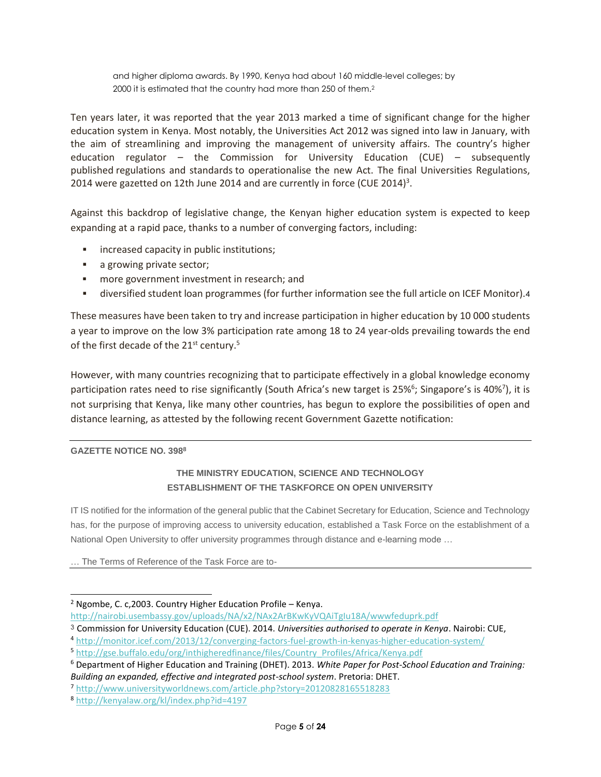and higher diploma awards. By 1990, Kenya had about 160 middle-level colleges; by 2000 it is estimated that the country had more than 250 of them.<sup>2</sup>

Ten years later, it was reported that the year 2013 marked a time of significant change for the higher education system in Kenya. Most notably, the Universities Act 2012 was signed into law in January, with the aim of streamlining and improving the management of university affairs. The country's higher education regulator – the Commission for University Education (CUE) – subsequently published regulations and standards to operationalise the new Act. The final Universities Regulations, 2014 were gazetted on 12th June 2014 and are currently in force (CUE 2014)<sup>3</sup>.

Against this backdrop of legislative change, the Kenyan higher education system is expected to keep expanding at a rapid pace, thanks to a number of converging factors, including:

- **EXECUTE:** increased capacity in public institutions;
- **a** a growing private sector;
- **namore government investment in research; and**
- diversified student loan programmes (for further information see the full article on ICEF Monitor).4

These measures have been taken to try and increase participation in higher education by 10 000 students a year to improve on the low 3% participation rate among 18 to 24 year-olds prevailing towards the end of the first decade of the 21<sup>st</sup> century.<sup>5</sup>

However, with many countries recognizing that to participate effectively in a global knowledge economy participation rates need to rise significantly (South Africa's new target is 25%<sup>6</sup>; Singapore's is 40%<sup>7</sup>), it is not surprising that Kenya, like many other countries, has begun to explore the possibilities of open and distance learning, as attested by the following recent Government Gazette notification:

#### **GAZETTE NOTICE NO. 398<sup>8</sup>**

l

#### **THE MINISTRY EDUCATION, SCIENCE AND TECHNOLOGY ESTABLISHMENT OF THE TASKFORCE ON OPEN UNIVERSITY**

IT IS notified for the information of the general public that the Cabinet Secretary for Education, Science and Technology has, for the purpose of improving access to university education, established a Task Force on the establishment of a National Open University to offer university programmes through distance and e-learning mode …

… The Terms of Reference of the Task Force are to-

<sup>2</sup> Ngombe, C. c,2003. Country Higher Education Profile – Kenya.

<http://nairobi.usembassy.gov/uploads/NA/x2/NAx2ArBKwKyVQAiTgIu18A/wwwfeduprk.pdf>

<sup>3</sup> Commission for University Education (CUE). 2014. *Universities authorised to operate in Kenya*. Nairobi: CUE,

<sup>4</sup> <http://monitor.icef.com/2013/12/converging-factors-fuel-growth-in-kenyas-higher-education-system/>

<sup>5</sup> [http://gse.buffalo.edu/org/inthigheredfinance/files/Country\\_Profiles/Africa/Kenya.pdf](http://gse.buffalo.edu/org/inthigheredfinance/files/Country_Profiles/Africa/Kenya.pdf)

<sup>6</sup> Department of Higher Education and Training (DHET). 2013. *White Paper for Post-School Education and Training: Building an expanded, effective and integrated post-school system*. Pretoria: DHET.

<sup>7</sup> <http://www.universityworldnews.com/article.php?story=20120828165518283>

<sup>8</sup> <http://kenyalaw.org/kl/index.php?id=4197>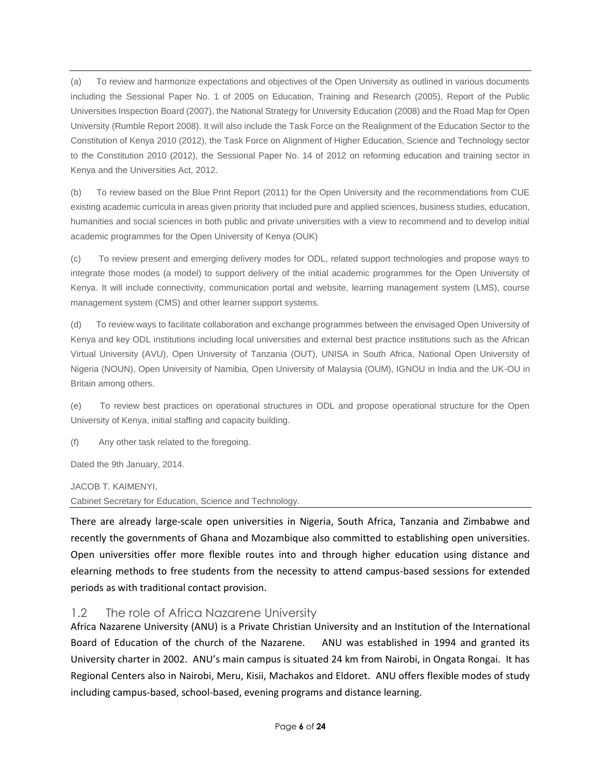(a) To review and harmonize expectations and objectives of the Open University as outlined in various documents including the Sessional Paper No. 1 of 2005 on Education, Training and Research (2005), Report of the Public Universities Inspection Board (2007), the National Strategy for University Education (2008) and the Road Map for Open University (Rumble Report 2008). It will also include the Task Force on the Realignment of the Education Sector to the Constitution of Kenya 2010 (2012), the Task Force on Alignment of Higher Education, Science and Technology sector to the Constitution 2010 (2012), the Sessional Paper No. 14 of 2012 on reforming education and training sector in Kenya and the Universities Act, 2012.

(b) To review based on the Blue Print Report (2011) for the Open University and the recommendations from CUE existing academic curricula in areas given priority that included pure and applied sciences, business studies, education, humanities and social sciences in both public and private universities with a view to recommend and to develop initial academic programmes for the Open University of Kenya (OUK)

(c) To review present and emerging delivery modes for ODL, related support technologies and propose ways to integrate those modes (a model) to support delivery of the initial academic programmes for the Open University of Kenya. It will include connectivity, communication portal and website, learning management system (LMS), course management system (CMS) and other learner support systems.

(d) To review ways to facilitate collaboration and exchange programmes between the envisaged Open University of Kenya and key ODL institutions including local universities and external best practice institutions such as the African Virtual University (AVU), Open University of Tanzania (OUT), UNISA in South Africa, National Open University of Nigeria (NOUN), Open University of Namibia, Open University of Malaysia (OUM), IGNOU in India and the UK-OU in Britain among others.

(e) To review best practices on operational structures in ODL and propose operational structure for the Open University of Kenya, initial staffing and capacity building.

(f) Any other task related to the foregoing.

Dated the 9th January, 2014.

JACOB T. KAIMENYI,

Cabinet Secretary for Education, Science and Technology.

There are already large-scale open universities in Nigeria, South Africa, Tanzania and Zimbabwe and recently the governments of Ghana and Mozambique also committed to establishing open universities. Open universities offer more flexible routes into and through higher education using distance and elearning methods to free students from the necessity to attend campus-based sessions for extended periods as with traditional contact provision.

#### <span id="page-6-0"></span>1.2 The role of Africa Nazarene University

Africa Nazarene University (ANU) is a Private Christian University and an Institution of the International Board of Education of the church of the Nazarene. ANU was established in 1994 and granted its University charter in 2002. ANU's main campus is situated 24 km from Nairobi, in Ongata Rongai. It has Regional Centers also in Nairobi, Meru, Kisii, Machakos and Eldoret. ANU offers flexible modes of study including campus-based, school-based, evening programs and distance learning.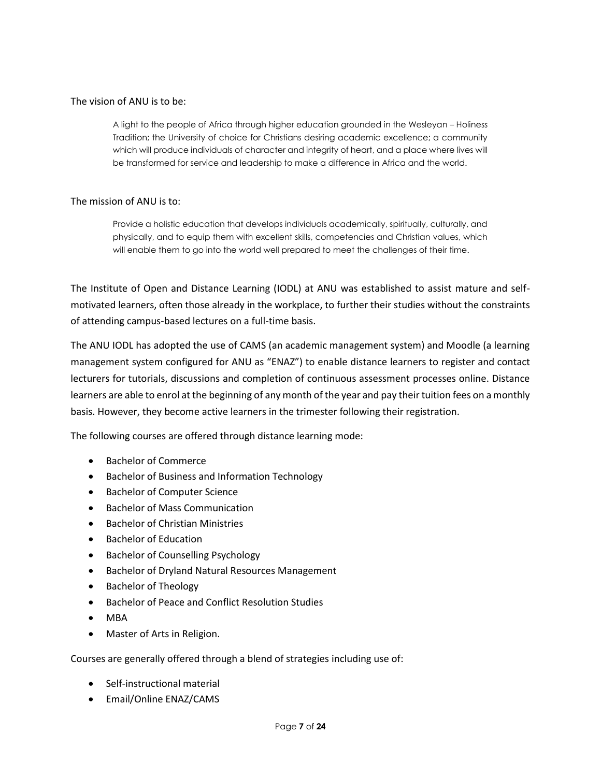#### The vision of ANU is to be:

A light to the people of Africa through higher education grounded in the Wesleyan – Holiness Tradition; the University of choice for Christians desiring academic excellence; a community which will produce individuals of character and integrity of heart, and a place where lives will be transformed for service and leadership to make a difference in Africa and the world.

#### The mission of ANU is to:

Provide a holistic education that develops individuals academically, spiritually, culturally, and physically, and to equip them with excellent skills, competencies and Christian values, which will enable them to go into the world well prepared to meet the challenges of their time.

The Institute of Open and Distance Learning (IODL) at ANU was established to assist mature and selfmotivated learners, often those already in the workplace, to further their studies without the constraints of attending campus-based lectures on a full-time basis.

The ANU IODL has adopted the use of CAMS (an academic management system) and Moodle (a learning management system configured for ANU as "ENAZ") to enable distance learners to register and contact lecturers for tutorials, discussions and completion of continuous assessment processes online. Distance learners are able to enrol at the beginning of any month of the year and pay their tuition fees on a monthly basis. However, they become active learners in the trimester following their registration.

The following courses are offered through distance learning mode:

- Bachelor of Commerce
- Bachelor of Business and Information Technology
- Bachelor of Computer Science
- Bachelor of Mass Communication
- Bachelor of Christian Ministries
- **•** Bachelor of Education
- **•** Bachelor of Counselling Psychology
- Bachelor of Dryland Natural Resources Management
- Bachelor of Theology
- Bachelor of Peace and Conflict Resolution Studies
- MBA
- Master of Arts in Religion.

Courses are generally offered through a blend of strategies including use of:

- Self-instructional material
- Email/Online ENAZ/CAMS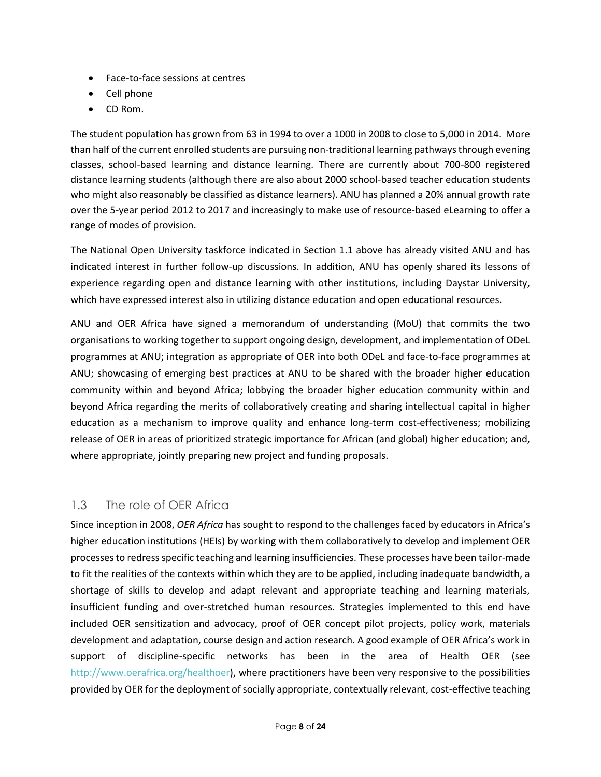- Face-to-face sessions at centres
- Cell phone
- CD Rom.

The student population has grown from 63 in 1994 to over a 1000 in 2008 to close to 5,000 in 2014. More than half of the current enrolled students are pursuing non-traditional learning pathways through evening classes, school-based learning and distance learning. There are currently about 700-800 registered distance learning students (although there are also about 2000 school-based teacher education students who might also reasonably be classified as distance learners). ANU has planned a 20% annual growth rate over the 5-year period 2012 to 2017 and increasingly to make use of resource-based eLearning to offer a range of modes of provision.

The National Open University taskforce indicated in Section 1.1 above has already visited ANU and has indicated interest in further follow-up discussions. In addition, ANU has openly shared its lessons of experience regarding open and distance learning with other institutions, including Daystar University, which have expressed interest also in utilizing distance education and open educational resources.

ANU and OER Africa have signed a memorandum of understanding (MoU) that commits the two organisations to working together to support ongoing design, development, and implementation of ODeL programmes at ANU; integration as appropriate of OER into both ODeL and face-to-face programmes at ANU; showcasing of emerging best practices at ANU to be shared with the broader higher education community within and beyond Africa; lobbying the broader higher education community within and beyond Africa regarding the merits of collaboratively creating and sharing intellectual capital in higher education as a mechanism to improve quality and enhance long-term cost-effectiveness; mobilizing release of OER in areas of prioritized strategic importance for African (and global) higher education; and, where appropriate, jointly preparing new project and funding proposals.

#### <span id="page-8-0"></span>1.3 The role of OER Africa

Since inception in 2008, *OER Africa* has sought to respond to the challenges faced by educators in Africa's higher education institutions (HEIs) by working with them collaboratively to develop and implement OER processes to redress specific teaching and learning insufficiencies. These processes have been tailor-made to fit the realities of the contexts within which they are to be applied, including inadequate bandwidth, a shortage of skills to develop and adapt relevant and appropriate teaching and learning materials, insufficient funding and over-stretched human resources. Strategies implemented to this end have included OER sensitization and advocacy, proof of OER concept pilot projects, policy work, materials development and adaptation, course design and action research. A good example of OER Africa's work in support of discipline-specific networks has been in the area of Health OER (see [http://www.oerafrica.org/healthoer\)](http://www.oerafrica.org/healthoer/), where practitioners have been very responsive to the possibilities provided by OER for the deployment of socially appropriate, contextually relevant, cost-effective teaching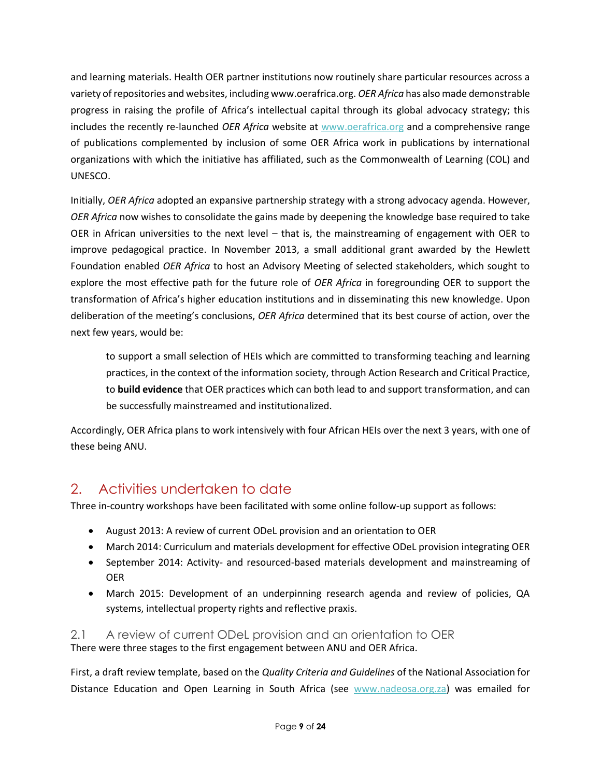and learning materials. Health OER partner institutions now routinely share particular resources across a variety of repositories and websites, including www.oerafrica.org. *OER Africa* has also made demonstrable progress in raising the profile of Africa's intellectual capital through its global advocacy strategy; this includes the recently re-launched *OER Africa* website at [www.oerafrica.org](http://www.oerafrica.org/) and a comprehensive range of publications complemented by inclusion of some OER Africa work in publications by international organizations with which the initiative has affiliated, such as the Commonwealth of Learning (COL) and UNESCO.

Initially, *OER Africa* adopted an expansive partnership strategy with a strong advocacy agenda. However, *OER Africa* now wishes to consolidate the gains made by deepening the knowledge base required to take OER in African universities to the next level – that is, the mainstreaming of engagement with OER to improve pedagogical practice. In November 2013, a small additional grant awarded by the Hewlett Foundation enabled *OER Africa* to host an Advisory Meeting of selected stakeholders, which sought to explore the most effective path for the future role of *OER Africa* in foregrounding OER to support the transformation of Africa's higher education institutions and in disseminating this new knowledge. Upon deliberation of the meeting's conclusions, *OER Africa* determined that its best course of action, over the next few years, would be:

to support a small selection of HEIs which are committed to transforming teaching and learning practices, in the context of the information society, through Action Research and Critical Practice, to **build evidence** that OER practices which can both lead to and support transformation, and can be successfully mainstreamed and institutionalized.

Accordingly, OER Africa plans to work intensively with four African HEIs over the next 3 years, with one of these being ANU.

# <span id="page-9-0"></span>2. Activities undertaken to date

Three in-country workshops have been facilitated with some online follow-up support as follows:

- August 2013: A review of current ODeL provision and an orientation to OER
- March 2014: Curriculum and materials development for effective ODeL provision integrating OER
- September 2014: Activity- and resourced-based materials development and mainstreaming of OER
- March 2015: Development of an underpinning research agenda and review of policies, QA systems, intellectual property rights and reflective praxis.

#### <span id="page-9-1"></span>2.1 A review of current ODeL provision and an orientation to OER There were three stages to the first engagement between ANU and OER Africa.

First, a draft review template, based on the *Quality Criteria and Guidelines* of the National Association for Distance Education and Open Learning in South Africa (see [www.nadeosa.org.za\)](http://www.nadeosa.org.za/) was emailed for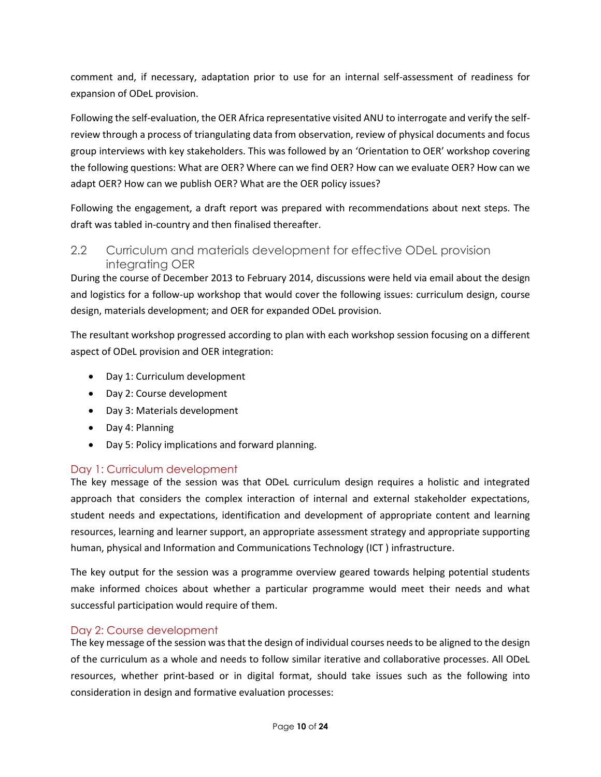comment and, if necessary, adaptation prior to use for an internal self-assessment of readiness for expansion of ODeL provision.

Following the self-evaluation, the OER Africa representative visited ANU to interrogate and verify the selfreview through a process of triangulating data from observation, review of physical documents and focus group interviews with key stakeholders. This was followed by an 'Orientation to OER' workshop covering the following questions: What are OER? Where can we find OER? How can we evaluate OER? How can we adapt OER? How can we publish OER? What are the OER policy issues?

Following the engagement, a draft report was prepared with recommendations about next steps. The draft was tabled in-country and then finalised thereafter.

#### <span id="page-10-0"></span>2.2 Curriculum and materials development for effective ODeL provision integrating OER

During the course of December 2013 to February 2014, discussions were held via email about the design and logistics for a follow-up workshop that would cover the following issues: curriculum design, course design, materials development; and OER for expanded ODeL provision.

The resultant workshop progressed according to plan with each workshop session focusing on a different aspect of ODeL provision and OER integration:

- Day 1: Curriculum development
- Day 2: Course development
- Day 3: Materials development
- Day 4: Planning
- Day 5: Policy implications and forward planning.

#### <span id="page-10-1"></span>Day 1: Curriculum development

The key message of the session was that ODeL curriculum design requires a holistic and integrated approach that considers the complex interaction of internal and external stakeholder expectations, student needs and expectations, identification and development of appropriate content and learning resources, learning and learner support, an appropriate assessment strategy and appropriate supporting human, physical and Information and Communications Technology (ICT ) infrastructure.

The key output for the session was a programme overview geared towards helping potential students make informed choices about whether a particular programme would meet their needs and what successful participation would require of them.

#### <span id="page-10-2"></span>Day 2: Course development

The key message of the session was that the design of individual courses needs to be aligned to the design of the curriculum as a whole and needs to follow similar iterative and collaborative processes. All ODeL resources, whether print-based or in digital format, should take issues such as the following into consideration in design and formative evaluation processes: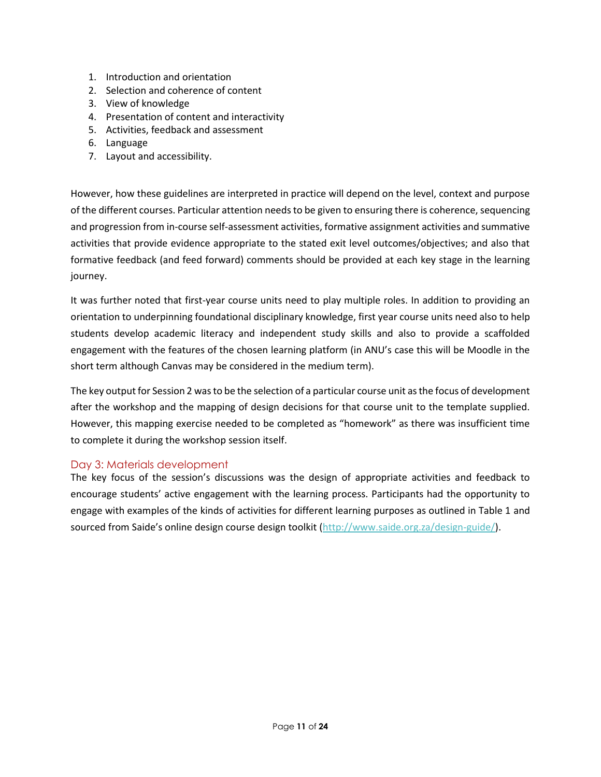- 1. Introduction and orientation
- 2. Selection and coherence of content
- 3. View of knowledge
- 4. Presentation of content and interactivity
- 5. Activities, feedback and assessment
- 6. Language
- 7. Layout and accessibility.

However, how these guidelines are interpreted in practice will depend on the level, context and purpose of the different courses. Particular attention needs to be given to ensuring there is coherence, sequencing and progression from in-course self-assessment activities, formative assignment activities and summative activities that provide evidence appropriate to the stated exit level outcomes/objectives; and also that formative feedback (and feed forward) comments should be provided at each key stage in the learning journey.

It was further noted that first-year course units need to play multiple roles. In addition to providing an orientation to underpinning foundational disciplinary knowledge, first year course units need also to help students develop academic literacy and independent study skills and also to provide a scaffolded engagement with the features of the chosen learning platform (in ANU's case this will be Moodle in the short term although Canvas may be considered in the medium term).

The key output for Session 2 was to be the selection of a particular course unit as the focus of development after the workshop and the mapping of design decisions for that course unit to the template supplied. However, this mapping exercise needed to be completed as "homework" as there was insufficient time to complete it during the workshop session itself.

#### <span id="page-11-0"></span>Day 3: Materials development

The key focus of the session's discussions was the design of appropriate activities and feedback to encourage students' active engagement with the learning process. Participants had the opportunity to engage with examples of the kinds of activities for different learning purposes as outlined in Table 1 and sourced from Saide's online design course design toolkit [\(http://www.saide.org.za/design-guide/\)](http://www.saide.org.za/design-guide/).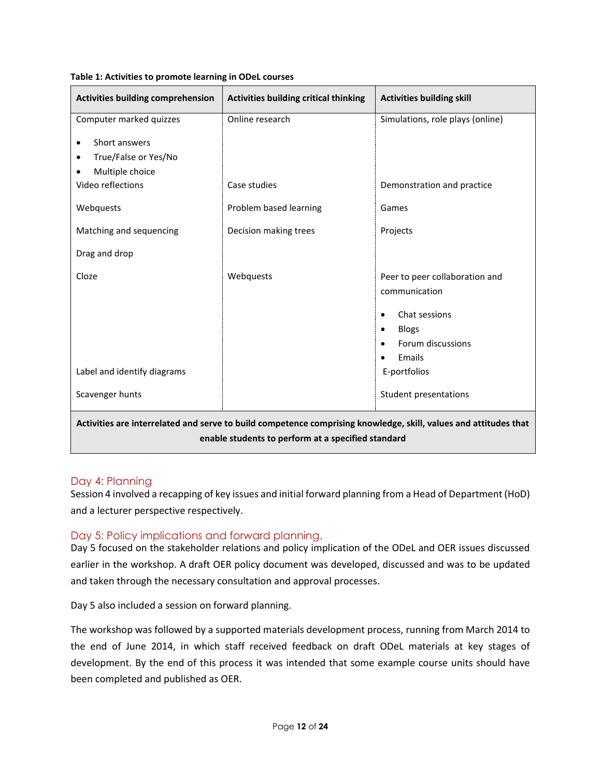| <b>Activities building comprehension</b>                                                                                                                               | <b>Activities building critical thinking</b> | <b>Activities building skill</b>                                                                                                                                                   |  |
|------------------------------------------------------------------------------------------------------------------------------------------------------------------------|----------------------------------------------|------------------------------------------------------------------------------------------------------------------------------------------------------------------------------------|--|
| Computer marked quizzes                                                                                                                                                | Online research                              | Simulations, role plays (online)                                                                                                                                                   |  |
| Short answers<br>$\bullet$<br>True/False or Yes/No<br>٠<br>Multiple choice<br>Video reflections<br>Webquests                                                           | Case studies<br>Problem based learning       | Demonstration and practice<br>Games                                                                                                                                                |  |
| Matching and sequencing                                                                                                                                                | Decision making trees                        | Projects                                                                                                                                                                           |  |
| Drag and drop                                                                                                                                                          |                                              |                                                                                                                                                                                    |  |
| Cloze<br>Label and identify diagrams<br>Scavenger hunts                                                                                                                | Webquests                                    | Peer to peer collaboration and<br>communication<br>Chat sessions<br>$\bullet$<br><b>Blogs</b><br>$\bullet$<br>Forum discussions<br>Emails<br>E-portfolios<br>Student presentations |  |
| Activities are interrelated and serve to build competence comprising knowledge, skill, values and attitudes that<br>enable students to perform at a specified standard |                                              |                                                                                                                                                                                    |  |

**Table 1: Activities to promote learning in ODeL courses**

#### <span id="page-12-0"></span>Day 4: Planning

Session 4 involved a recapping of key issues and initial forward planning from a Head of Department (HoD) and a lecturer perspective respectively.

#### <span id="page-12-1"></span>Day 5: Policy implications and forward planning.

Day 5 focused on the stakeholder relations and policy implication of the ODeL and OER issues discussed earlier in the workshop. A draft OER policy document was developed, discussed and was to be updated and taken through the necessary consultation and approval processes.

Day 5 also included a session on forward planning.

The workshop was followed by a supported materials development process, running from March 2014 to the end of June 2014, in which staff received feedback on draft ODeL materials at key stages of development. By the end of this process it was intended that some example course units should have been completed and published as OER.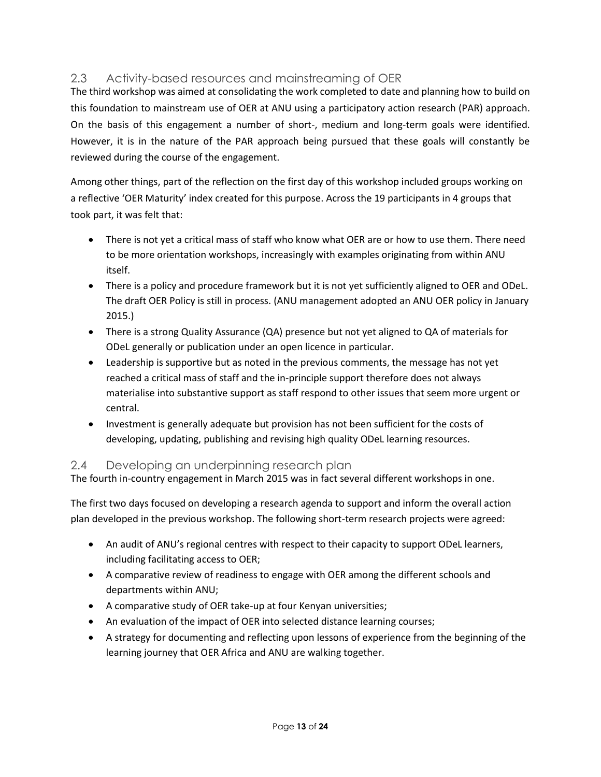### <span id="page-13-0"></span>2.3 Activity-based resources and mainstreaming of OER

The third workshop was aimed at consolidating the work completed to date and planning how to build on this foundation to mainstream use of OER at ANU using a participatory action research (PAR) approach. On the basis of this engagement a number of short-, medium and long-term goals were identified. However, it is in the nature of the PAR approach being pursued that these goals will constantly be reviewed during the course of the engagement.

Among other things, part of the reflection on the first day of this workshop included groups working on a reflective 'OER Maturity' index created for this purpose. Across the 19 participants in 4 groups that took part, it was felt that:

- There is not yet a critical mass of staff who know what OER are or how to use them. There need to be more orientation workshops, increasingly with examples originating from within ANU itself.
- There is a policy and procedure framework but it is not yet sufficiently aligned to OER and ODeL. The draft OER Policy is still in process. (ANU management adopted an ANU OER policy in January 2015.)
- There is a strong Quality Assurance (QA) presence but not yet aligned to QA of materials for ODeL generally or publication under an open licence in particular.
- Leadership is supportive but as noted in the previous comments, the message has not yet reached a critical mass of staff and the in-principle support therefore does not always materialise into substantive support as staff respond to other issues that seem more urgent or central.
- Investment is generally adequate but provision has not been sufficient for the costs of developing, updating, publishing and revising high quality ODeL learning resources.

#### <span id="page-13-1"></span>2.4 Developing an underpinning research plan

The fourth in-country engagement in March 2015 was in fact several different workshops in one.

The first two days focused on developing a research agenda to support and inform the overall action plan developed in the previous workshop. The following short-term research projects were agreed:

- An audit of ANU's regional centres with respect to their capacity to support ODeL learners, including facilitating access to OER;
- A comparative review of readiness to engage with OER among the different schools and departments within ANU;
- A comparative study of OER take-up at four Kenyan universities;
- An evaluation of the impact of OER into selected distance learning courses;
- A strategy for documenting and reflecting upon lessons of experience from the beginning of the learning journey that OER Africa and ANU are walking together.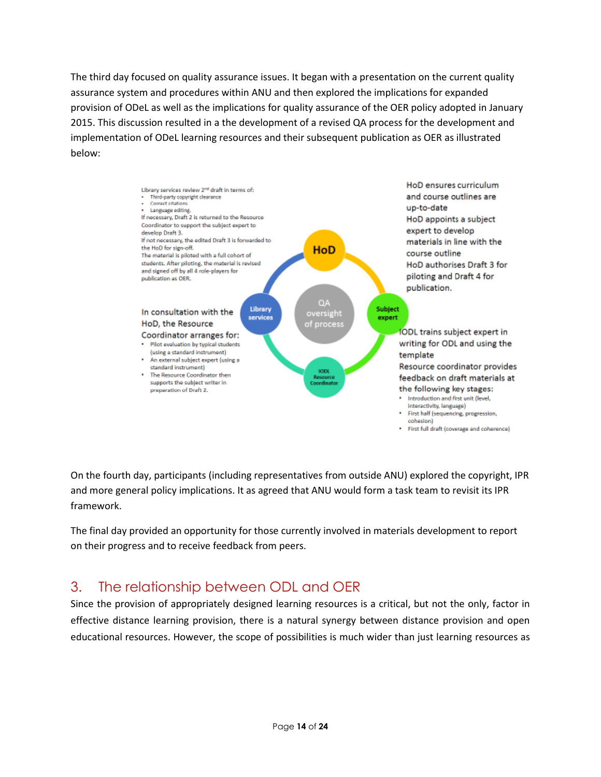The third day focused on quality assurance issues. It began with a presentation on the current quality assurance system and procedures within ANU and then explored the implications for expanded provision of ODeL as well as the implications for quality assurance of the OER policy adopted in January 2015. This discussion resulted in a the development of a revised QA process for the development and implementation of ODeL learning resources and their subsequent publication as OER as illustrated below:



On the fourth day, participants (including representatives from outside ANU) explored the copyright, IPR and more general policy implications. It as agreed that ANU would form a task team to revisit its IPR framework.

The final day provided an opportunity for those currently involved in materials development to report on their progress and to receive feedback from peers.

# <span id="page-14-0"></span>3. The relationship between ODL and OER

Since the provision of appropriately designed learning resources is a critical, but not the only, factor in effective distance learning provision, there is a natural synergy between distance provision and open educational resources. However, the scope of possibilities is much wider than just learning resources as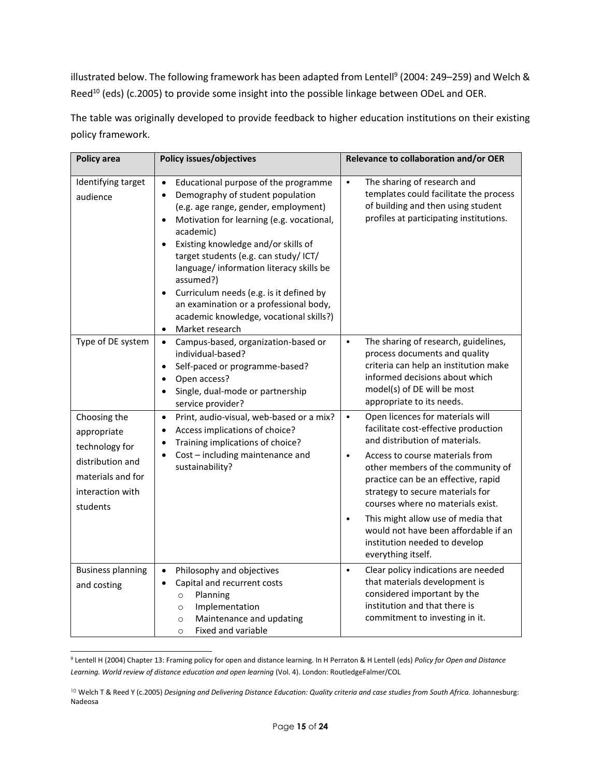illustrated below. The following framework has been adapted from Lentell<sup>9</sup> (2004: 249–259) and Welch & Reed<sup>10</sup> (eds) (c.2005) to provide some insight into the possible linkage between ODeL and OER.

The table was originally developed to provide feedback to higher education institutions on their existing policy framework.

| <b>Policy area</b>                                                                                                     | <b>Policy issues/objectives</b>                                                                                                                                                                                                                                                                                                                                                                                                                                                                                                                      | Relevance to collaboration and/or OER                                                                                                                                                                                                                                                                                                                                                                                                                                          |
|------------------------------------------------------------------------------------------------------------------------|------------------------------------------------------------------------------------------------------------------------------------------------------------------------------------------------------------------------------------------------------------------------------------------------------------------------------------------------------------------------------------------------------------------------------------------------------------------------------------------------------------------------------------------------------|--------------------------------------------------------------------------------------------------------------------------------------------------------------------------------------------------------------------------------------------------------------------------------------------------------------------------------------------------------------------------------------------------------------------------------------------------------------------------------|
| Identifying target<br>audience                                                                                         | Educational purpose of the programme<br>$\bullet$<br>Demography of student population<br>$\bullet$<br>(e.g. age range, gender, employment)<br>Motivation for learning (e.g. vocational,<br>$\bullet$<br>academic)<br>Existing knowledge and/or skills of<br>$\bullet$<br>target students (e.g. can study/ ICT/<br>language/ information literacy skills be<br>assumed?)<br>Curriculum needs (e.g. is it defined by<br>$\bullet$<br>an examination or a professional body,<br>academic knowledge, vocational skills?)<br>Market research<br>$\bullet$ | The sharing of research and<br>$\bullet$<br>templates could facilitate the process<br>of building and then using student<br>profiles at participating institutions.                                                                                                                                                                                                                                                                                                            |
| Type of DE system                                                                                                      | Campus-based, organization-based or<br>$\bullet$<br>individual-based?<br>Self-paced or programme-based?<br>$\bullet$<br>Open access?<br>$\bullet$<br>Single, dual-mode or partnership<br>service provider?                                                                                                                                                                                                                                                                                                                                           | $\bullet$<br>The sharing of research, guidelines,<br>process documents and quality<br>criteria can help an institution make<br>informed decisions about which<br>model(s) of DE will be most<br>appropriate to its needs.                                                                                                                                                                                                                                                      |
| Choosing the<br>appropriate<br>technology for<br>distribution and<br>materials and for<br>interaction with<br>students | Print, audio-visual, web-based or a mix?<br>$\bullet$<br>Access implications of choice?<br>$\bullet$<br>Training implications of choice?<br>$\bullet$<br>Cost - including maintenance and<br>$\bullet$<br>sustainability?                                                                                                                                                                                                                                                                                                                            | Open licences for materials will<br>$\bullet$<br>facilitate cost-effective production<br>and distribution of materials.<br>Access to course materials from<br>$\bullet$<br>other members of the community of<br>practice can be an effective, rapid<br>strategy to secure materials for<br>courses where no materials exist.<br>This might allow use of media that<br>$\bullet$<br>would not have been affordable if an<br>institution needed to develop<br>everything itself. |
| <b>Business planning</b><br>and costing                                                                                | Philosophy and objectives<br>$\bullet$<br>Capital and recurrent costs<br>$\bullet$<br>Planning<br>$\circ$<br>Implementation<br>$\circ$<br>Maintenance and updating<br>$\circ$<br><b>Fixed and variable</b><br>$\circ$                                                                                                                                                                                                                                                                                                                                | Clear policy indications are needed<br>$\bullet$<br>that materials development is<br>considered important by the<br>institution and that there is<br>commitment to investing in it.                                                                                                                                                                                                                                                                                            |

<sup>9</sup> Lentell H (2004) Chapter 13: Framing policy for open and distance learning. In H Perraton & H Lentell (eds) *Policy for Open and Distance Learning. World review of distance education and open learning* (Vol. 4). London: RoutledgeFalmer/COL

l

<sup>10</sup> Welch T & Reed Y (c.2005) *Designing and Delivering Distance Education: Quality criteria and case studies from South Africa. Johannesburg:* Nadeosa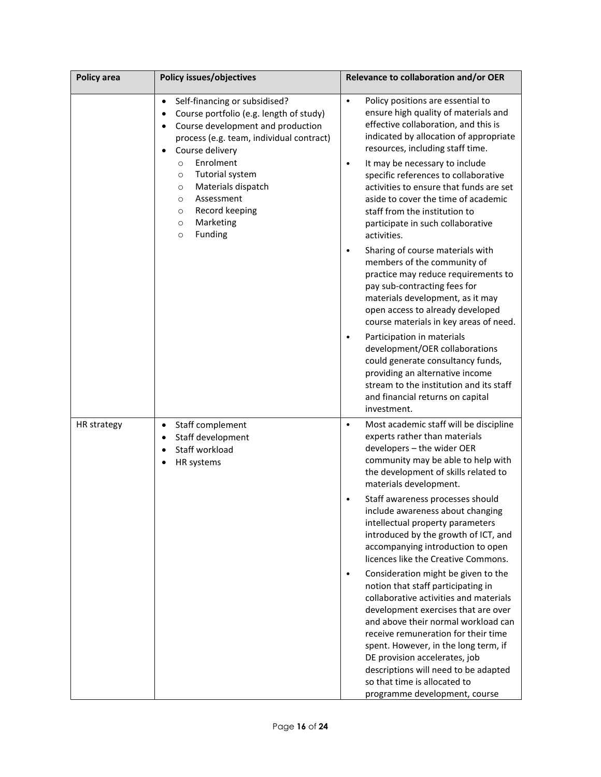| <b>Policy area</b> | <b>Policy issues/objectives</b>                                                                                                                                                                                                          | Relevance to collaboration and/or OER                                                                                                                                                                                                                                                                                                                                                     |
|--------------------|------------------------------------------------------------------------------------------------------------------------------------------------------------------------------------------------------------------------------------------|-------------------------------------------------------------------------------------------------------------------------------------------------------------------------------------------------------------------------------------------------------------------------------------------------------------------------------------------------------------------------------------------|
|                    | Self-financing or subsidised?<br>$\bullet$<br>Course portfolio (e.g. length of study)<br>٠<br>Course development and production<br>٠<br>process (e.g. team, individual contract)<br>Course delivery<br>$\bullet$<br>Enrolment<br>$\circ$ | Policy positions are essential to<br>$\bullet$<br>ensure high quality of materials and<br>effective collaboration, and this is<br>indicated by allocation of appropriate<br>resources, including staff time.                                                                                                                                                                              |
|                    | Tutorial system<br>$\circ$<br>Materials dispatch<br>$\circ$<br>Assessment<br>$\circ$<br>Record keeping<br>$\circ$<br>Marketing<br>$\circ$<br>Funding<br>$\circ$                                                                          | It may be necessary to include<br>$\bullet$<br>specific references to collaborative<br>activities to ensure that funds are set<br>aside to cover the time of academic<br>staff from the institution to<br>participate in such collaborative<br>activities.                                                                                                                                |
|                    |                                                                                                                                                                                                                                          | Sharing of course materials with<br>members of the community of<br>practice may reduce requirements to<br>pay sub-contracting fees for<br>materials development, as it may<br>open access to already developed<br>course materials in key areas of need.                                                                                                                                  |
|                    |                                                                                                                                                                                                                                          | Participation in materials<br>development/OER collaborations<br>could generate consultancy funds,<br>providing an alternative income<br>stream to the institution and its staff<br>and financial returns on capital<br>investment.                                                                                                                                                        |
| HR strategy        | Staff complement<br>$\bullet$<br>Staff development<br>$\bullet$<br>Staff workload<br>$\bullet$<br>HR systems                                                                                                                             | Most academic staff will be discipline<br>$\bullet$<br>experts rather than materials<br>developers - the wider OER<br>community may be able to help with<br>the development of skills related to<br>materials development.                                                                                                                                                                |
|                    |                                                                                                                                                                                                                                          | Staff awareness processes should<br>include awareness about changing<br>intellectual property parameters<br>introduced by the growth of ICT, and<br>accompanying introduction to open<br>licences like the Creative Commons.                                                                                                                                                              |
|                    |                                                                                                                                                                                                                                          | Consideration might be given to the<br>notion that staff participating in<br>collaborative activities and materials<br>development exercises that are over<br>and above their normal workload can<br>receive remuneration for their time<br>spent. However, in the long term, if<br>DE provision accelerates, job<br>descriptions will need to be adapted<br>so that time is allocated to |
|                    |                                                                                                                                                                                                                                          | programme development, course                                                                                                                                                                                                                                                                                                                                                             |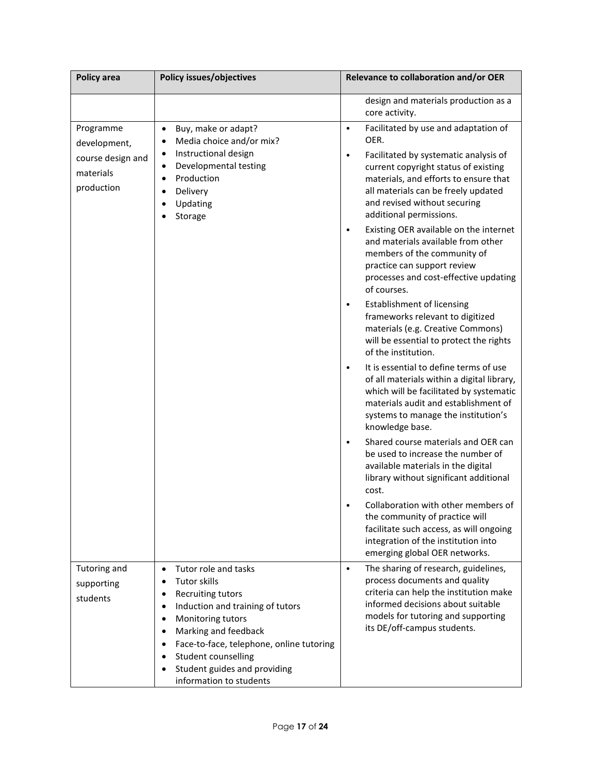| <b>Policy area</b>                                                        | <b>Policy issues/objectives</b>                                                                                                                                                                                                 | Relevance to collaboration and/or OER                                                                                                                                                                                                                                                              |
|---------------------------------------------------------------------------|---------------------------------------------------------------------------------------------------------------------------------------------------------------------------------------------------------------------------------|----------------------------------------------------------------------------------------------------------------------------------------------------------------------------------------------------------------------------------------------------------------------------------------------------|
|                                                                           |                                                                                                                                                                                                                                 | design and materials production as a<br>core activity.                                                                                                                                                                                                                                             |
| Programme<br>development,<br>course design and<br>materials<br>production | Buy, make or adapt?<br>$\bullet$<br>Media choice and/or mix?<br>$\bullet$<br>Instructional design<br>$\bullet$<br>Developmental testing<br>$\bullet$<br>Production<br>$\bullet$<br>Delivery<br>$\bullet$<br>Updating<br>Storage | Facilitated by use and adaptation of<br>$\bullet$<br>OER.<br>Facilitated by systematic analysis of<br>$\bullet$<br>current copyright status of existing<br>materials, and efforts to ensure that<br>all materials can be freely updated<br>and revised without securing<br>additional permissions. |
|                                                                           |                                                                                                                                                                                                                                 | Existing OER available on the internet<br>$\bullet$<br>and materials available from other<br>members of the community of<br>practice can support review<br>processes and cost-effective updating<br>of courses.                                                                                    |
|                                                                           |                                                                                                                                                                                                                                 | Establishment of licensing<br>frameworks relevant to digitized<br>materials (e.g. Creative Commons)<br>will be essential to protect the rights<br>of the institution.                                                                                                                              |
|                                                                           |                                                                                                                                                                                                                                 | It is essential to define terms of use<br>of all materials within a digital library,<br>which will be facilitated by systematic<br>materials audit and establishment of<br>systems to manage the institution's<br>knowledge base.                                                                  |
|                                                                           |                                                                                                                                                                                                                                 | Shared course materials and OER can<br>be used to increase the number of<br>available materials in the digital<br>library without significant additional<br>cost.                                                                                                                                  |
|                                                                           |                                                                                                                                                                                                                                 | Collaboration with other members of<br>the community of practice will<br>facilitate such access, as will ongoing<br>integration of the institution into<br>emerging global OER networks.                                                                                                           |
| Tutoring and                                                              | Tutor role and tasks<br>$\bullet$                                                                                                                                                                                               | The sharing of research, guidelines,<br>$\bullet$                                                                                                                                                                                                                                                  |
| supporting                                                                | <b>Tutor skills</b><br>$\bullet$                                                                                                                                                                                                | process documents and quality                                                                                                                                                                                                                                                                      |
| students                                                                  | <b>Recruiting tutors</b><br>$\bullet$                                                                                                                                                                                           | criteria can help the institution make<br>informed decisions about suitable                                                                                                                                                                                                                        |
|                                                                           | Induction and training of tutors<br>$\bullet$<br>Monitoring tutors<br>$\bullet$                                                                                                                                                 | models for tutoring and supporting                                                                                                                                                                                                                                                                 |
|                                                                           | Marking and feedback<br>$\bullet$                                                                                                                                                                                               | its DE/off-campus students.                                                                                                                                                                                                                                                                        |
|                                                                           | Face-to-face, telephone, online tutoring<br>$\bullet$                                                                                                                                                                           |                                                                                                                                                                                                                                                                                                    |
|                                                                           | Student counselling<br>$\bullet$                                                                                                                                                                                                |                                                                                                                                                                                                                                                                                                    |
|                                                                           | Student guides and providing<br>information to students                                                                                                                                                                         |                                                                                                                                                                                                                                                                                                    |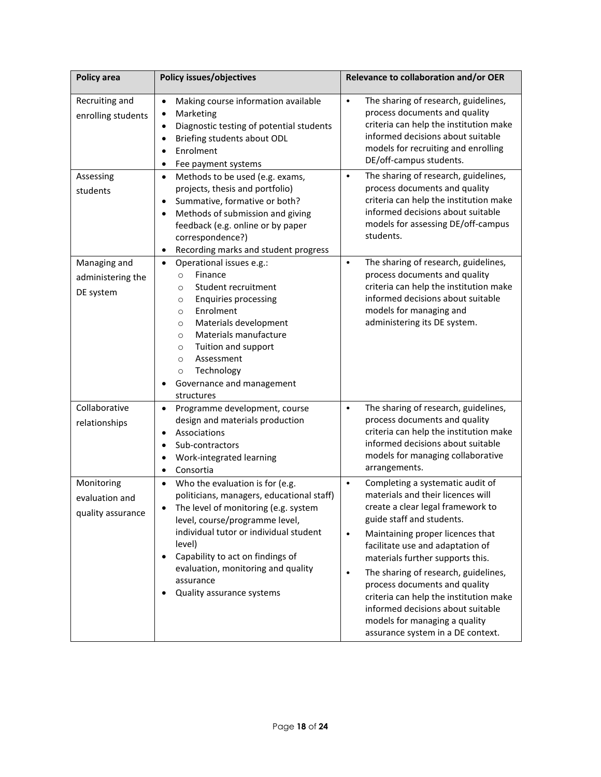| <b>Policy area</b>                                | <b>Policy issues/objectives</b>                                                                                                                                                                                                                                                                                                                                        | Relevance to collaboration and/or OER                                                                                                                                                                                                                                                                                                                                                                                                                                                                                    |
|---------------------------------------------------|------------------------------------------------------------------------------------------------------------------------------------------------------------------------------------------------------------------------------------------------------------------------------------------------------------------------------------------------------------------------|--------------------------------------------------------------------------------------------------------------------------------------------------------------------------------------------------------------------------------------------------------------------------------------------------------------------------------------------------------------------------------------------------------------------------------------------------------------------------------------------------------------------------|
| Recruiting and<br>enrolling students              | Making course information available<br>$\bullet$<br>Marketing<br>$\bullet$<br>Diagnostic testing of potential students<br>$\bullet$<br>Briefing students about ODL<br>$\bullet$<br>Enrolment<br>$\bullet$<br>Fee payment systems<br>$\bullet$                                                                                                                          | The sharing of research, guidelines,<br>$\bullet$<br>process documents and quality<br>criteria can help the institution make<br>informed decisions about suitable<br>models for recruiting and enrolling<br>DE/off-campus students.                                                                                                                                                                                                                                                                                      |
| Assessing<br>students                             | Methods to be used (e.g. exams,<br>$\bullet$<br>projects, thesis and portfolio)<br>Summative, formative or both?<br>$\bullet$<br>Methods of submission and giving<br>$\bullet$<br>feedback (e.g. online or by paper<br>correspondence?)<br>Recording marks and student progress<br>$\bullet$                                                                           | The sharing of research, guidelines,<br>$\bullet$<br>process documents and quality<br>criteria can help the institution make<br>informed decisions about suitable<br>models for assessing DE/off-campus<br>students.                                                                                                                                                                                                                                                                                                     |
| Managing and<br>administering the<br>DE system    | Operational issues e.g.:<br>$\bullet$<br>Finance<br>$\circ$<br>Student recruitment<br>$\circ$<br><b>Enquiries processing</b><br>$\circ$<br>Enrolment<br>$\circ$<br>Materials development<br>$\circ$<br>Materials manufacture<br>$\circ$<br>Tuition and support<br>$\circ$<br>Assessment<br>$\circ$<br>Technology<br>$\circ$<br>Governance and management<br>structures | The sharing of research, guidelines,<br>$\bullet$<br>process documents and quality<br>criteria can help the institution make<br>informed decisions about suitable<br>models for managing and<br>administering its DE system.                                                                                                                                                                                                                                                                                             |
| Collaborative<br>relationships                    | Programme development, course<br>$\bullet$<br>design and materials production<br>Associations<br>$\bullet$<br>Sub-contractors<br>$\bullet$<br>Work-integrated learning<br>٠<br>Consortia<br>$\bullet$                                                                                                                                                                  | The sharing of research, guidelines,<br>$\bullet$<br>process documents and quality<br>criteria can help the institution make<br>informed decisions about suitable<br>models for managing collaborative<br>arrangements.                                                                                                                                                                                                                                                                                                  |
| Monitoring<br>evaluation and<br>quality assurance | Who the evaluation is for (e.g.<br>$\bullet$<br>politicians, managers, educational staff)<br>The level of monitoring (e.g. system<br>level, course/programme level,<br>individual tutor or individual student<br>level)<br>Capability to act on findings of<br>٠<br>evaluation, monitoring and quality<br>assurance<br>Quality assurance systems                       | Completing a systematic audit of<br>$\bullet$<br>materials and their licences will<br>create a clear legal framework to<br>guide staff and students.<br>Maintaining proper licences that<br>$\bullet$<br>facilitate use and adaptation of<br>materials further supports this.<br>The sharing of research, guidelines,<br>$\bullet$<br>process documents and quality<br>criteria can help the institution make<br>informed decisions about suitable<br>models for managing a quality<br>assurance system in a DE context. |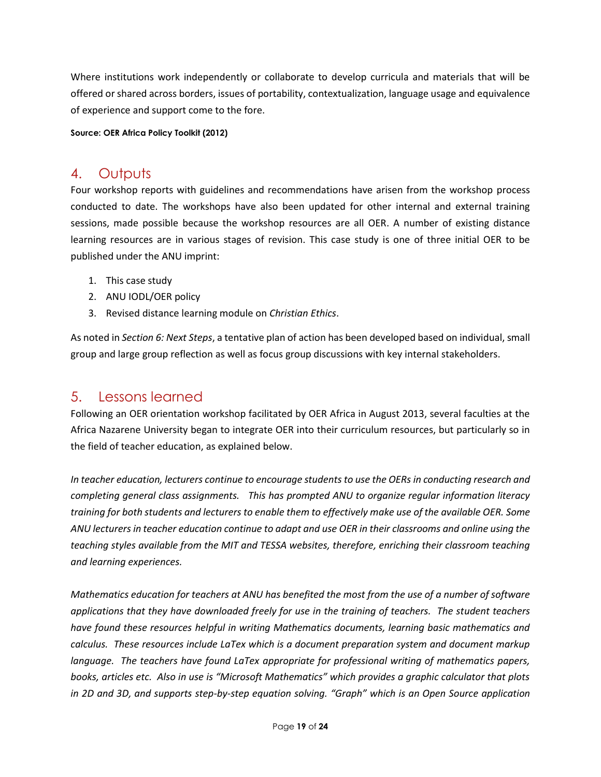Where institutions work independently or collaborate to develop curricula and materials that will be offered or shared across borders, issues of portability, contextualization, language usage and equivalence of experience and support come to the fore.

**Source: OER Africa Policy Toolkit (2012)**

## <span id="page-19-0"></span>4. Outputs

Four workshop reports with guidelines and recommendations have arisen from the workshop process conducted to date. The workshops have also been updated for other internal and external training sessions, made possible because the workshop resources are all OER. A number of existing distance learning resources are in various stages of revision. This case study is one of three initial OER to be published under the ANU imprint:

- 1. This case study
- 2. ANU IODL/OER policy
- 3. Revised distance learning module on *Christian Ethics*.

As noted in *Section 6: Next Steps*, a tentative plan of action has been developed based on individual, small group and large group reflection as well as focus group discussions with key internal stakeholders.

## <span id="page-19-1"></span>5. Lessons learned

Following an OER orientation workshop facilitated by OER Africa in August 2013, several faculties at the Africa Nazarene University began to integrate OER into their curriculum resources, but particularly so in the field of teacher education, as explained below.

*In teacher education, lecturers continue to encourage students to use the OERs in conducting research and completing general class assignments. This has prompted ANU to organize regular information literacy training for both students and lecturers to enable them to effectively make use of the available OER. Some ANU lecturers in teacher education continue to adapt and use OER in their classrooms and online using the teaching styles available from the MIT and TESSA websites, therefore, enriching their classroom teaching and learning experiences.*

*Mathematics education for teachers at ANU has benefited the most from the use of a number of software applications that they have downloaded freely for use in the training of teachers. The student teachers have found these resources helpful in writing Mathematics documents, learning basic mathematics and calculus. These resources include LaTex which is a document preparation system and document markup language. The teachers have found LaTex appropriate for professional writing of mathematics papers, books, articles etc. Also in use is "Microsoft Mathematics" which provides a graphic calculator that plots in 2D and 3D, and supports step-by-step equation solving. "Graph" which is an Open Source application*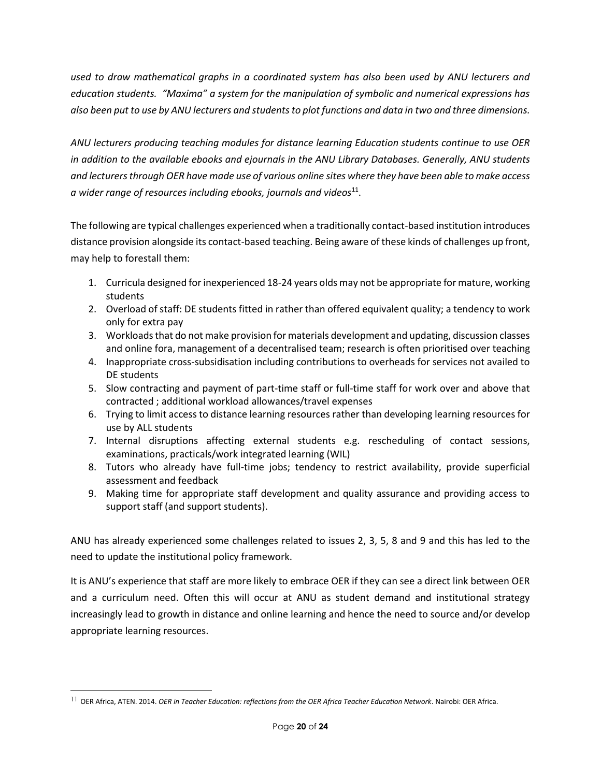*used to draw mathematical graphs in a coordinated system has also been used by ANU lecturers and education students. "Maxima" a system for the manipulation of symbolic and numerical expressions has also been put to use by ANU lecturers and students to plot functions and data in two and three dimensions.* 

*ANU lecturers producing teaching modules for distance learning Education students continue to use OER in addition to the available ebooks and ejournals in the ANU Library Databases. Generally, ANU students and lecturers through OER have made use of various online sites where they have been able to make access a wider range of resources including ebooks, journals and videos*<sup>11</sup> .

The following are typical challenges experienced when a traditionally contact-based institution introduces distance provision alongside its contact-based teaching. Being aware of these kinds of challenges up front, may help to forestall them:

- 1. Curricula designed for inexperienced 18-24 years olds may not be appropriate for mature, working students
- 2. Overload of staff: DE students fitted in rather than offered equivalent quality; a tendency to work only for extra pay
- 3. Workloads that do not make provision for materials development and updating, discussion classes and online fora, management of a decentralised team; research is often prioritised over teaching
- 4. Inappropriate cross-subsidisation including contributions to overheads for services not availed to DE students
- 5. Slow contracting and payment of part-time staff or full-time staff for work over and above that contracted ; additional workload allowances/travel expenses
- 6. Trying to limit access to distance learning resources rather than developing learning resources for use by ALL students
- 7. Internal disruptions affecting external students e.g. rescheduling of contact sessions, examinations, practicals/work integrated learning (WIL)
- 8. Tutors who already have full-time jobs; tendency to restrict availability, provide superficial assessment and feedback
- 9. Making time for appropriate staff development and quality assurance and providing access to support staff (and support students).

ANU has already experienced some challenges related to issues 2, 3, 5, 8 and 9 and this has led to the need to update the institutional policy framework.

It is ANU's experience that staff are more likely to embrace OER if they can see a direct link between OER and a curriculum need. Often this will occur at ANU as student demand and institutional strategy increasingly lead to growth in distance and online learning and hence the need to source and/or develop appropriate learning resources.

 $\overline{a}$ 

<sup>11</sup> OER Africa, ATEN. 2014. *OER in Teacher Education: reflections from the OER Africa Teacher Education Network*. Nairobi: OER Africa.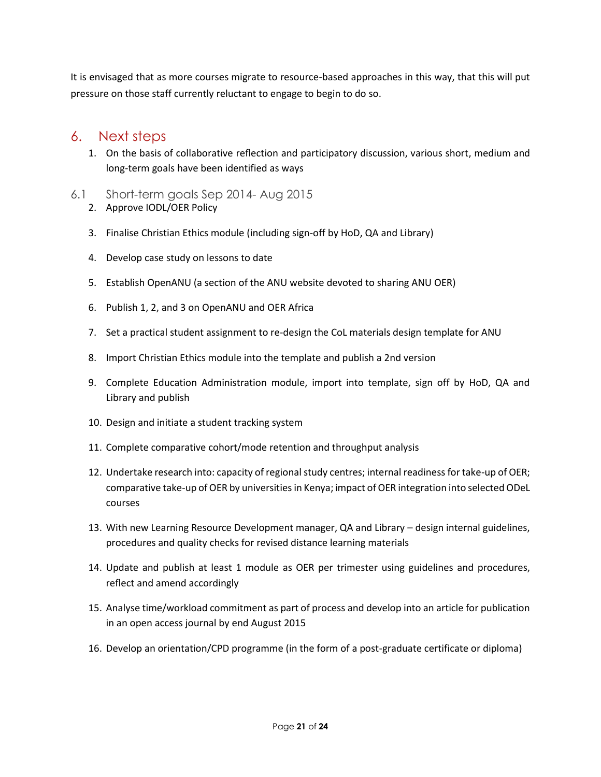It is envisaged that as more courses migrate to resource-based approaches in this way, that this will put pressure on those staff currently reluctant to engage to begin to do so.

## <span id="page-21-0"></span>6. Next steps

- 1. On the basis of collaborative reflection and participatory discussion, various short, medium and long-term goals have been identified as ways
- <span id="page-21-1"></span>6.1 Short-term goals Sep 2014- Aug 2015 2. Approve IODL/OER Policy
	- 3. Finalise Christian Ethics module (including sign-off by HoD, QA and Library)
	- 4. Develop case study on lessons to date
	- 5. Establish OpenANU (a section of the ANU website devoted to sharing ANU OER)
	- 6. Publish 1, 2, and 3 on OpenANU and OER Africa
	- 7. Set a practical student assignment to re-design the CoL materials design template for ANU
	- 8. Import Christian Ethics module into the template and publish a 2nd version
	- 9. Complete Education Administration module, import into template, sign off by HoD, QA and Library and publish
	- 10. Design and initiate a student tracking system
	- 11. Complete comparative cohort/mode retention and throughput analysis
	- 12. Undertake research into: capacity of regional study centres; internal readiness for take-up of OER; comparative take-up of OER by universities in Kenya; impact of OER integration into selected ODeL courses
	- 13. With new Learning Resource Development manager, QA and Library design internal guidelines, procedures and quality checks for revised distance learning materials
	- 14. Update and publish at least 1 module as OER per trimester using guidelines and procedures, reflect and amend accordingly
	- 15. Analyse time/workload commitment as part of process and develop into an article for publication in an open access journal by end August 2015
	- 16. Develop an orientation/CPD programme (in the form of a post-graduate certificate or diploma)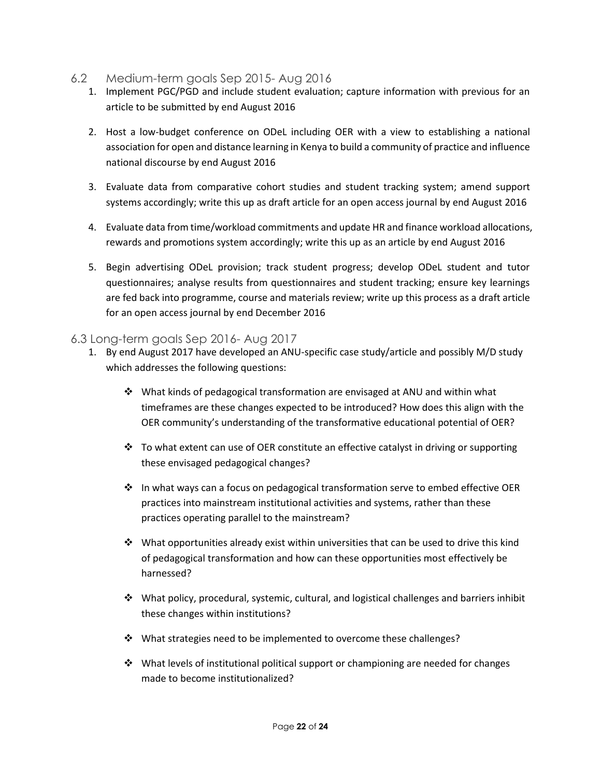- <span id="page-22-0"></span>6.2 Medium-term goals Sep 2015- Aug 2016
	- 1. Implement PGC/PGD and include student evaluation; capture information with previous for an article to be submitted by end August 2016
	- 2. Host a low-budget conference on ODeL including OER with a view to establishing a national association for open and distance learning in Kenya to build a community of practice and influence national discourse by end August 2016
	- 3. Evaluate data from comparative cohort studies and student tracking system; amend support systems accordingly; write this up as draft article for an open access journal by end August 2016
	- 4. Evaluate data from time/workload commitments and update HR and finance workload allocations, rewards and promotions system accordingly; write this up as an article by end August 2016
	- 5. Begin advertising ODeL provision; track student progress; develop ODeL student and tutor questionnaires; analyse results from questionnaires and student tracking; ensure key learnings are fed back into programme, course and materials review; write up this process as a draft article for an open access journal by end December 2016

#### <span id="page-22-1"></span>6.3 Long-term goals Sep 2016- Aug 2017

- 1. By end August 2017 have developed an ANU-specific case study/article and possibly M/D study which addresses the following questions:
	- What kinds of pedagogical transformation are envisaged at ANU and within what timeframes are these changes expected to be introduced? How does this align with the OER community's understanding of the transformative educational potential of OER?
	- $\cdot$  To what extent can use of OER constitute an effective catalyst in driving or supporting these envisaged pedagogical changes?
	- $\cdot \cdot$  In what ways can a focus on pedagogical transformation serve to embed effective OER practices into mainstream institutional activities and systems, rather than these practices operating parallel to the mainstream?
	- $\clubsuit$  What opportunities already exist within universities that can be used to drive this kind of pedagogical transformation and how can these opportunities most effectively be harnessed?
	- What policy, procedural, systemic, cultural, and logistical challenges and barriers inhibit these changes within institutions?
	- $\cdot$  What strategies need to be implemented to overcome these challenges?
	- $\div$  What levels of institutional political support or championing are needed for changes made to become institutionalized?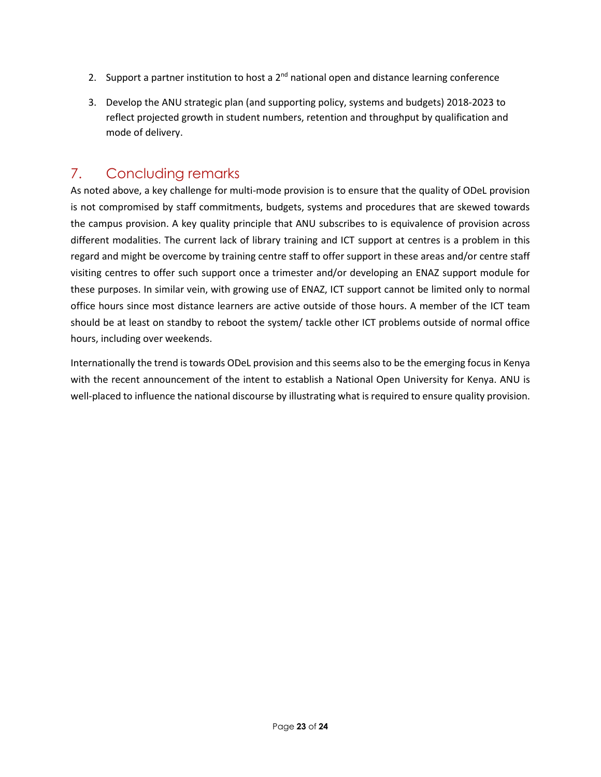- 2. Support a partner institution to host a  $2<sup>nd</sup>$  national open and distance learning conference
- 3. Develop the ANU strategic plan (and supporting policy, systems and budgets) 2018-2023 to reflect projected growth in student numbers, retention and throughput by qualification and mode of delivery.

# <span id="page-23-0"></span>7. Concluding remarks

As noted above, a key challenge for multi-mode provision is to ensure that the quality of ODeL provision is not compromised by staff commitments, budgets, systems and procedures that are skewed towards the campus provision. A key quality principle that ANU subscribes to is equivalence of provision across different modalities. The current lack of library training and ICT support at centres is a problem in this regard and might be overcome by training centre staff to offer support in these areas and/or centre staff visiting centres to offer such support once a trimester and/or developing an ENAZ support module for these purposes. In similar vein, with growing use of ENAZ, ICT support cannot be limited only to normal office hours since most distance learners are active outside of those hours. A member of the ICT team should be at least on standby to reboot the system/ tackle other ICT problems outside of normal office hours, including over weekends.

Internationally the trend is towards ODeL provision and this seems also to be the emerging focus in Kenya with the recent announcement of the intent to establish a National Open University for Kenya. ANU is well-placed to influence the national discourse by illustrating what is required to ensure quality provision.